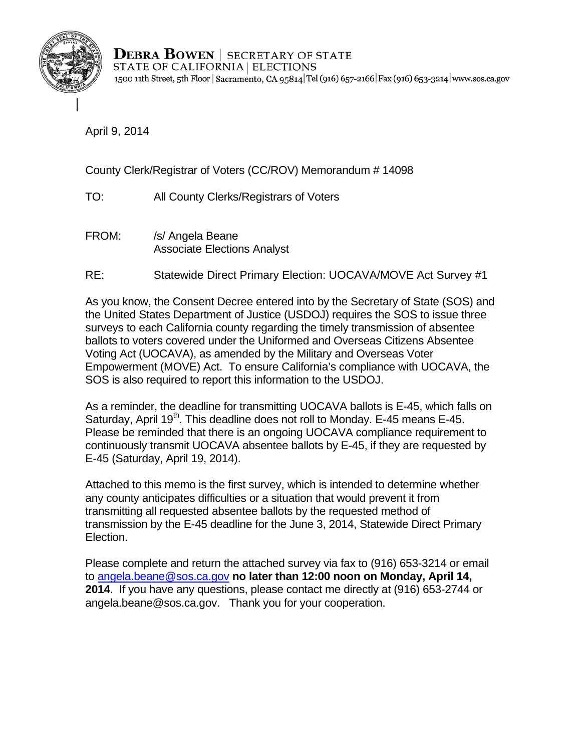

**DEBRA BOWEN** SECRETARY OF STATE STATE OF CALIFORNIA | ELECTIONS 1500 11th Street, 5th Floor | Sacramento, CA 95814 | Tel (916) 657-2166 | Fax (916) 653-3214 | www.sos.ca.gov

April 9, 2014

County Clerk/Registrar of Voters (CC/ROV) Memorandum # 14098

TO: All County Clerks/Registrars of Voters

- FROM: /s/ Angela Beane Associate Elections Analyst
- RE: Statewide Direct Primary Election: UOCAVA/MOVE Act Survey #1

As you know, the Consent Decree entered into by the Secretary of State (SOS) and the United States Department of Justice (USDOJ) requires the SOS to issue three surveys to each California county regarding the timely transmission of absentee ballots to voters covered under the Uniformed and Overseas Citizens Absentee Voting Act (UOCAVA), as amended by the Military and Overseas Voter Empowerment (MOVE) Act. To ensure California's compliance with UOCAVA, the SOS is also required to report this information to the USDOJ.

As a reminder, the deadline for transmitting UOCAVA ballots is E-45, which falls on Saturday, April 19<sup>th</sup>. This deadline does not roll to Monday. E-45 means E-45. Please be reminded that there is an ongoing UOCAVA compliance requirement to continuously transmit UOCAVA absentee ballots by E-45, if they are requested by E-45 (Saturday, April 19, 2014).

Attached to this memo is the first survey, which is intended to determine whether any county anticipates difficulties or a situation that would prevent it from transmitting all requested absentee ballots by the requested method of transmission by the E-45 deadline for the June 3, 2014, Statewide Direct Primary Election.

Please complete and return the attached survey via fax to (916) 653-3214 or email to angela.beane@sos.ca.gov **no later than 12:00 noon on Monday, April 14, 2014**. If you have any questions, please contact me directly at (916) 653-2744 or angela.beane@sos.ca.gov. Thank you for your cooperation.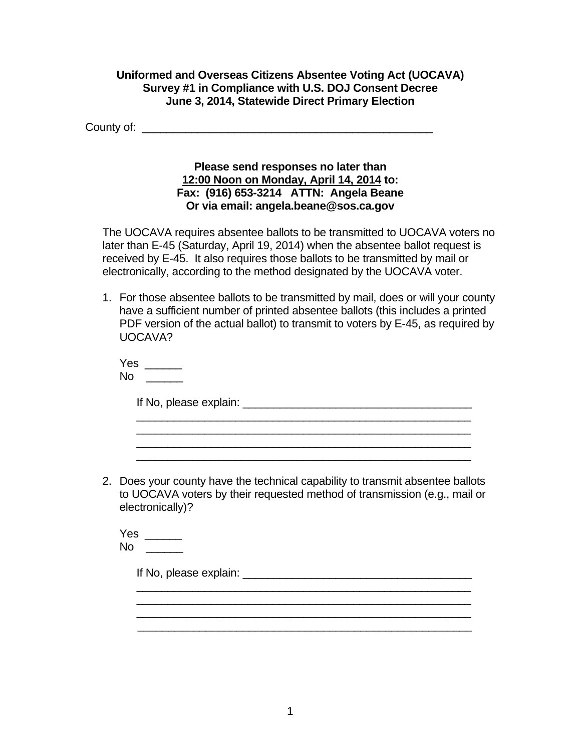## **Uniformed and Overseas Citizens Absentee Voting Act (UOCAVA) Survey #1 in Compliance with U.S. DOJ Consent Decree June 3, 2014, Statewide Direct Primary Election**

County of: \_\_\_\_\_\_\_\_\_\_\_\_\_\_\_\_\_\_\_\_\_\_\_\_\_\_\_\_\_\_\_\_\_\_\_\_\_\_\_\_\_\_\_\_\_\_\_

## **Please send responses no later than 12:00 Noon on Monday, April 14, 2014 to: Fax: (916) 653-3214 ATTN: Angela Beane Or via email: angela.beane@sos.ca.gov**

The UOCAVA requires absentee ballots to be transmitted to UOCAVA voters no later than E-45 (Saturday, April 19, 2014) when the absentee ballot request is received by E-45. It also requires those ballots to be transmitted by mail or electronically, according to the method designated by the UOCAVA voter.

1. For those absentee ballots to be transmitted by mail, does or will your county have a sufficient number of printed absentee ballots (this includes a printed PDF version of the actual ballot) to transmit to voters by E-45, as required by UOCAVA?

Yes \_\_\_\_\_\_ \_\_\_\_\_\_ No

If No, please explain: \_\_\_\_\_\_\_\_\_\_\_\_\_\_\_\_\_\_\_\_\_\_\_\_\_\_\_\_\_\_\_\_\_\_\_\_\_

2. Does your county have the technical capability to transmit absentee ballots to UOCAVA voters by their requested method of transmission (e.g., mail or electronically)?

 $\frac{1}{\sqrt{2}}$  ,  $\frac{1}{\sqrt{2}}$  ,  $\frac{1}{\sqrt{2}}$  ,  $\frac{1}{\sqrt{2}}$  ,  $\frac{1}{\sqrt{2}}$  ,  $\frac{1}{\sqrt{2}}$  ,  $\frac{1}{\sqrt{2}}$  ,  $\frac{1}{\sqrt{2}}$  ,  $\frac{1}{\sqrt{2}}$  ,  $\frac{1}{\sqrt{2}}$  ,  $\frac{1}{\sqrt{2}}$  ,  $\frac{1}{\sqrt{2}}$  ,  $\frac{1}{\sqrt{2}}$  ,  $\frac{1}{\sqrt{2}}$  ,  $\frac{1}{\sqrt{2}}$ \_\_\_\_\_\_\_\_\_\_\_\_\_\_\_\_\_\_\_\_\_\_\_\_\_\_\_\_\_\_\_\_\_\_\_\_\_\_\_\_\_\_\_\_\_\_\_\_\_\_\_\_\_\_ \_\_\_\_\_\_\_\_\_\_\_\_\_\_\_\_\_\_\_\_\_\_\_\_\_\_\_\_\_\_\_\_\_\_\_\_\_\_\_\_\_\_\_\_\_\_\_\_\_\_\_\_\_\_ \_\_\_\_\_\_\_\_\_\_\_\_\_\_\_\_\_\_\_\_\_\_\_\_\_\_\_\_\_\_\_\_\_\_\_\_\_\_\_\_\_\_\_\_\_\_\_\_\_\_\_\_\_\_

\_\_\_\_\_\_\_\_\_\_\_\_\_\_\_\_\_\_\_\_\_\_\_\_\_\_\_\_\_\_\_\_\_\_\_\_\_\_\_\_\_\_\_\_\_\_\_\_\_\_\_\_\_\_ \_\_\_\_\_\_\_\_\_\_\_\_\_\_\_\_\_\_\_\_\_\_\_\_\_\_\_\_\_\_\_\_\_\_\_\_\_\_\_\_\_\_\_\_\_\_\_\_\_\_\_\_\_\_ \_\_\_\_\_\_\_\_\_\_\_\_\_\_\_\_\_\_\_\_\_\_\_\_\_\_\_\_\_\_\_\_\_\_\_\_\_\_\_\_\_\_\_\_\_\_\_\_\_\_\_\_\_\_

Yes \_\_\_\_\_\_ \_\_\_\_\_\_ No

If No, please explain:  $\blacksquare$